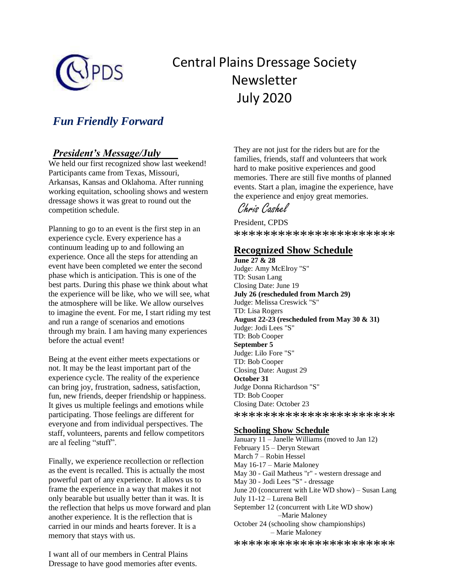

# Central Plains Dressage Society Newsletter July 2020

# *Fun Friendly Forward*

# *President's Message/July*

We held our first recognized show last weekend! Participants came from Texas, Missouri, Arkansas, Kansas and Oklahoma. After running working equitation, schooling shows and western dressage shows it was great to round out the competition schedule.

Planning to go to an event is the first step in an experience cycle. Every experience has a continuum leading up to and following an experience. Once all the steps for attending an event have been completed we enter the second phase which is anticipation. This is one of the best parts. During this phase we think about what the experience will be like, who we will see, what the atmosphere will be like. We allow ourselves to imagine the event. For me, I start riding my test and run a range of scenarios and emotions through my brain. I am having many experiences before the actual event!

Being at the event either meets expectations or not. It may be the least important part of the experience cycle. The reality of the experience can bring joy, frustration, sadness, satisfaction, fun, new friends, deeper friendship or happiness. It gives us multiple feelings and emotions while participating. Those feelings are different for everyone and from individual perspectives. The staff, volunteers, parents and fellow competitors are al feeling "stuff".

Finally, we experience recollection or reflection as the event is recalled. This is actually the most powerful part of any experience. It allows us to frame the experience in a way that makes it not only bearable but usually better than it was. It is the reflection that helps us move forward and plan another experience. It is the reflection that is carried in our minds and hearts forever. It is a memory that stays with us.

I want all of our members in Central Plains Dressage to have good memories after events. They are not just for the riders but are for the families, friends, staff and volunteers that work hard to make positive experiences and good memories. There are still five months of planned events. Start a plan, imagine the experience, have the experience and enjoy great memories.

Chris Cashel

President, CPDS \*\*\*\*\*\*\*\*\*\*\*\*\*\*\*\*\*\*\*\*\*\*

# **Recognized Show Schedule**

**June 27 & 28** Judge: Amy McElroy "S" TD: Susan Lang Closing Date: June 19 **July 26 (rescheduled from March 29)** Judge: Melissa Creswick "S" TD: Lisa Rogers **August 22-23 (rescheduled from May 30 & 31)** Judge: Jodi Lees "S" TD: Bob Cooper **September 5** Judge: Lilo Fore "S" TD: Bob Cooper Closing Date: August 29 **October 31** Judge Donna Richardson "S" TD: Bob Cooper Closing Date: October 23 \*\*\*\*\*\*\*\*\*\*\*\*\*\*\*\*\*\*\*\*\*\*

#### **Schooling Show Schedule**

January 11 – Janelle Williams (moved to Jan 12) February 15 – Deryn Stewart March 7 – Robin Hessel May 16-17 – Marie Maloney May 30 - Gail Matheus "r" - western dressage and May 30 - Jodi Lees "S" - dressage June 20 (concurrent with Lite WD show) – Susan Lang July 11-12 – Lurena Bell September 12 (concurrent with Lite WD show) –Marie Maloney October 24 (schooling show championships) – Marie Maloney

\*\*\*\*\*\*\*\*\*\*\*\*\*\*\*\*\*\*\*\*\*\*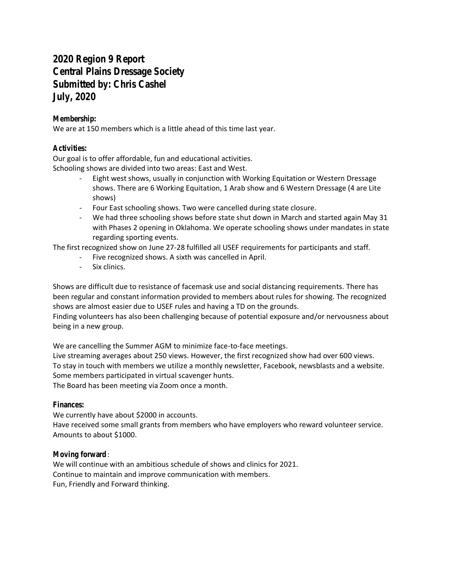# **2020 Region 9 Report Central Plains Dressage Society Submitted by: Chris Cashel July, 2020**

## **Membership:**

We are at 150 members which is a little ahead of this time last year.

### **Activities:**

Our goal is to offer affordable, fun and educational activities. Schooling shows are divided into two areas: East and West.

- Eight west shows, usually in conjunction with Working Equitation or Western Dressage shows. There are 6 Working Equitation, 1 Arab show and 6 Western Dressage (4 are Lite shows)
- Four East schooling shows. Two were cancelled during state closure.
- We had three schooling shows before state shut down in March and started again May 31 with Phases 2 opening in Oklahoma. We operate schooling shows under mandates in state regarding sporting events.

The first recognized show on June 27-28 fulfilled all USEF requirements for participants and staff.

- Five recognized shows. A sixth was cancelled in April.
- Six clinics.

Shows are difficult due to resistance of facemask use and social distancing requirements. There has been regular and constant information provided to members about rules for showing. The recognized shows are almost easier due to USEF rules and having a TD on the grounds.

Finding volunteers has also been challenging because of potential exposure and/or nervousness about being in a new group.

We are cancelling the Summer AGM to minimize face-to-face meetings.

Live streaming averages about 250 views. However, the first recognized show had over 600 views. To stay in touch with members we utilize a monthly newsletter, Facebook, newsblasts and a website. Some members participated in virtual scavenger hunts. The Board has been meeting via Zoom once a month.

#### **Finances:**

We currently have about \$2000 in accounts.

Have received some small grants from members who have employers who reward volunteer service. Amounts to about \$1000.

#### **Moving forward** :

We will continue with an ambitious schedule of shows and clinics for 2021. Continue to maintain and improve communication with members. Fun, Friendly and Forward thinking.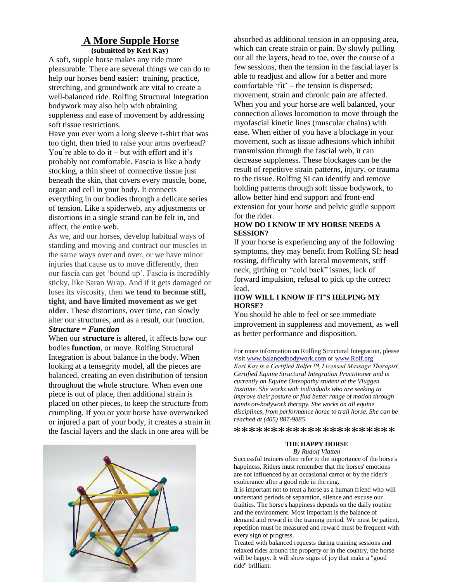#### **A More Supple Horse (submitted by Keri Kay)**

A soft, supple horse makes any ride more pleasurable. There are several things we can do to help our horses bend easier: training, practice, stretching, and groundwork are vital to create a well-balanced ride. Rolfing Structural Integration bodywork may also help with obtaining suppleness and ease of movement by addressing soft tissue restrictions.

Have you ever worn a long sleeve t-shirt that was too tight, then tried to raise your arms overhead? You're able to do it – but with effort and it's probably not comfortable. Fascia is like a body stocking, a thin sheet of connective tissue just beneath the skin, that covers every muscle, bone, organ and cell in your body. It connects everything in our bodies through a delicate series of tension. Like a spiderweb, any adjustments or distortions in a single strand can be felt in, and affect, the entire web.

As we, and our horses, develop habitual ways of standing and moving and contract our muscles in the same ways over and over, or we have minor injuries that cause us to move differently, then our fascia can get 'bound up'. Fascia is incredibly sticky, like Saran Wrap. And if it gets damaged or loses its viscosity, then **we tend to become stiff, tight, and have limited movement as we get older.** These distortions, over time, can slowly alter our structures, and as a result, our function. *Structure = Function*

When our **structure** is altered, it affects how our bodies **function**, or move. Rolfing Structural Integration is about balance in the body. When looking at a tensegrity model, all the pieces are balanced, creating an even distribution of tension throughout the whole structure. When even one piece is out of place, then additional strain is placed on other pieces, to keep the structure from crumpling. If you or your horse have overworked or injured a part of your body, it creates a strain in the fascial layers and the slack in one area will be



absorbed as additional tension in an opposing area, which can create strain or pain. By slowly pulling out all the layers, head to toe, over the course of a few sessions, then the tension in the fascial layer is able to readjust and allow for a better and more comfortable 'fit' – the tension is dispersed; movement, strain and chronic pain are affected. When you and your horse are well balanced, your connection allows locomotion to move through the myofascial kinetic lines (muscular chains) with ease. When either of you have a blockage in your movement, such as tissue adhesions which inhibit transmission through the fascial web, it can decrease suppleness. These blockages can be the result of repetitive strain patterns, injury, or trauma to the tissue. Rolfing SI can identify and remove holding patterns through soft tissue bodywork, to allow better hind end support and front-end extension for your horse and pelvic girdle support for the rider.

#### **HOW DO I KNOW IF MY HORSE NEEDS A SESSION?**

If your horse is experiencing any of the following symptoms, they may benefit from Rolfing SI: head tossing, difficulty with lateral movements, stiff neck, girthing or "cold back" issues, lack of forward impulsion, refusal to pick up the correct lead.

#### **HOW WILL I KNOW IF IT'S HELPING MY HORSE?**

You should be able to feel or see immediate improvement in suppleness and movement, as well as better performance and disposition.

For more information on Rolfing Structural Integration, please visit [www.balancedbodywork.com](http://www.balancedbodywork.com/) or [www.Rolf.org](http://www.rolf.org/) *Keri Kay is a Certified Rolfer™, Licensed Massage Therapist, Certified Equine Structural Integration Practitioner and is currently an Equine Osteopathy student at the Vluggen Institute. She works with individuals who are seeking to improve their posture or find better range of motion through hands on-bodywork therapy. She works on all equine disciplines, from performance horse to trail horse. She can be reached at (405) 887-9885.*

\*\*\*\*\*\*\*\*\*\*\*\*\*\*\*\*\*\*\*\*\*\*

#### **THE HAPPY HORSE**

*By Rudolf Vlatten*

Successful trainers often refer to the importance of the horse's happiness. Riders must remember that the horses' emotions are not influenced by an occasional carrot or by the rider's exuberance after a good ride in the ring.

It is important not to treat a horse as a human friend who will understand periods of separation, silence and excuse our frailties. The horse's happiness depends on the daily routine and the environment. Most important is the balance of demand and reward in the training period. We must be patient, repetition must be measured and reward must be frequent with every sign of progress.

Treated with balanced requests during training sessions and relaxed rides around the property or in the country, the horse will be happy. It will show signs of joy that make a "good ride" brilliant.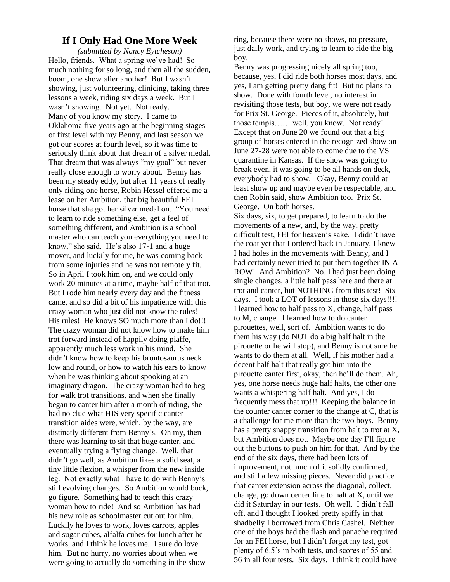### **If I Only Had One More Week**

*(submitted by Nancy Eytcheson)* Hello, friends. What a spring we've had! So much nothing for so long, and then all the sudden, boom, one show after another! But I wasn't showing, just volunteering, clinicing, taking three lessons a week, riding six days a week. But I wasn't showing. Not yet. Not ready. Many of you know my story. I came to Oklahoma five years ago at the beginning stages of first level with my Benny, and last season we got our scores at fourth level, so it was time to seriously think about that dream of a silver medal. That dream that was always "my goal" but never really close enough to worry about. Benny has been my steady eddy, but after 11 years of really only riding one horse, Robin Hessel offered me a lease on her Ambition, that big beautiful FEI horse that she got her silver medal on. "You need to learn to ride something else, get a feel of something different, and Ambition is a school master who can teach you everything you need to know," she said. He's also 17-1 and a huge mover, and luckily for me, he was coming back from some injuries and he was not remotely fit. So in April I took him on, and we could only work 20 minutes at a time, maybe half of that trot. But I rode him nearly every day and the fitness came, and so did a bit of his impatience with this crazy woman who just did not know the rules! His rules! He knows SO much more than I do!!! The crazy woman did not know how to make him trot forward instead of happily doing piaffe, apparently much less work in his mind. She didn't know how to keep his brontosaurus neck low and round, or how to watch his ears to know when he was thinking about spooking at an imaginary dragon. The crazy woman had to beg for walk trot transitions, and when she finally began to canter him after a month of riding, she had no clue what HIS very specific canter transition aides were, which, by the way, are distinctly different from Benny's. Oh my, then there was learning to sit that huge canter, and eventually trying a flying change. Well, that didn't go well, as Ambition likes a solid seat, a tiny little flexion, a whisper from the new inside leg. Not exactly what I have to do with Benny's still evolving changes. So Ambition would buck, go figure. Something had to teach this crazy woman how to ride! And so Ambition has had his new role as schoolmaster cut out for him. Luckily he loves to work, loves carrots, apples and sugar cubes, alfalfa cubes for lunch after he works, and I think he loves me. I sure do love him. But no hurry, no worries about when we were going to actually do something in the show

ring, because there were no shows, no pressure, just daily work, and trying to learn to ride the big boy.

Benny was progressing nicely all spring too, because, yes, I did ride both horses most days, and yes, I am getting pretty dang fit! But no plans to show. Done with fourth level, no interest in revisiting those tests, but boy, we were not ready for Prix St. George. Pieces of it, absolutely, but those tempis…… well, you know. Not ready! Except that on June 20 we found out that a big group of horses entered in the recognized show on June 27-28 were not able to come due to the VS quarantine in Kansas. If the show was going to break even, it was going to be all hands on deck, everybody had to show. Okay, Benny could at least show up and maybe even be respectable, and then Robin said, show Ambition too. Prix St. George. On both horses.

Six days, six, to get prepared, to learn to do the movements of a new, and, by the way, pretty difficult test, FEI for heaven's sake. I didn't have the coat yet that I ordered back in January, I knew I had holes in the movements with Benny, and I had certainly never tried to put them together IN A ROW! And Ambition? No, I had just been doing single changes, a little half pass here and there at trot and canter, but NOTHING from this test! Six days. I took a LOT of lessons in those six days!!!! I learned how to half pass to X, change, half pass to M, change. I learned how to do canter pirouettes, well, sort of. Ambition wants to do them his way (do NOT do a big half halt in the pirouette or he will stop), and Benny is not sure he wants to do them at all. Well, if his mother had a decent half halt that really got him into the pirouette canter first, okay, then he'll do them. Ah, yes, one horse needs huge half halts, the other one wants a whispering half halt. And yes, I do frequently mess that up!!! Keeping the balance in the counter canter corner to the change at C, that is a challenge for me more than the two boys. Benny has a pretty snappy transition from halt to trot at X, but Ambition does not. Maybe one day I'll figure out the buttons to push on him for that. And by the end of the six days, there had been lots of improvement, not much of it solidly confirmed, and still a few missing pieces. Never did practice that canter extension across the diagonal, collect, change, go down center line to halt at X, until we did it Saturday in our tests. Oh well. I didn't fall off, and I thought I looked pretty spiffy in that shadbelly I borrowed from Chris Cashel. Neither one of the boys had the flash and panache required for an FEI horse, but I didn't forget my test, got plenty of 6.5's in both tests, and scores of 55 and 56 in all four tests. Six days. I think it could have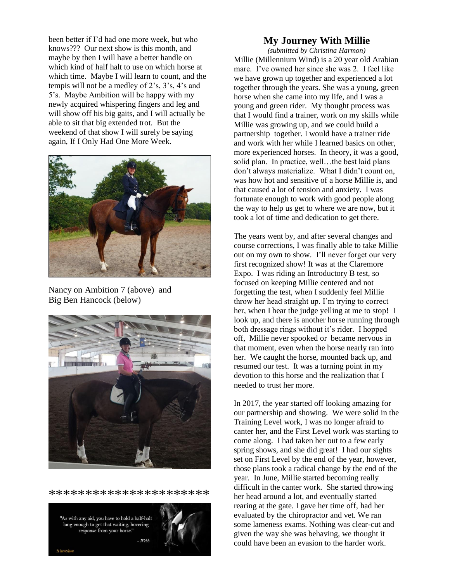been better if I'd had one more week, but who knows??? Our next show is this month, and maybe by then I will have a better handle on which kind of half halt to use on which horse at which time. Maybe I will learn to count, and the tempis will not be a medley of 2's, 3's, 4's and 5's. Maybe Ambition will be happy with my newly acquired whispering fingers and leg and will show off his big gaits, and I will actually be able to sit that big extended trot. But the weekend of that show I will surely be saying again, If I Only Had One More Week.



Nancy on Ambition 7 (above) and Big Ben Hancock (below)



\*\*\*\*\*\*\*\*\*\*\*\*\*\*\*\*\*\*\*\*\*\*

"As with any aid, you have to hold a half-halt long enough to get that waiting, hovering response from your horse."  $W_{ab}$ 



## **My Journey With Millie**

*(submitted by Christina Harmon)* Millie (Millennium Wind) is a 20 year old Arabian mare. I've owned her since she was 2. I feel like we have grown up together and experienced a lot together through the years. She was a young, green horse when she came into my life, and I was a young and green rider. My thought process was that I would find a trainer, work on my skills while Millie was growing up, and we could build a partnership together. I would have a trainer ride and work with her while I learned basics on other, more experienced horses. In theory, it was a good, solid plan. In practice, well...the best laid plans don't always materialize. What I didn't count on, was how hot and sensitive of a horse Millie is, and that caused a lot of tension and anxiety. I was fortunate enough to work with good people along the way to help us get to where we are now, but it took a lot of time and dedication to get there.

The years went by, and after several changes and course corrections, I was finally able to take Millie out on my own to show. I'll never forget our very first recognized show! It was at the Claremore Expo. I was riding an Introductory B test, so focused on keeping Millie centered and not forgetting the test, when I suddenly feel Millie throw her head straight up. I'm trying to correct her, when I hear the judge yelling at me to stop! I look up, and there is another horse running through both dressage rings without it's rider. I hopped off, Millie never spooked or became nervous in that moment, even when the horse nearly ran into her. We caught the horse, mounted back up, and resumed our test. It was a turning point in my devotion to this horse and the realization that I needed to trust her more.

In 2017, the year started off looking amazing for our partnership and showing. We were solid in the Training Level work, I was no longer afraid to canter her, and the First Level work was starting to come along. I had taken her out to a few early spring shows, and she did great! I had our sights set on First Level by the end of the year, however, those plans took a radical change by the end of the year. In June, Millie started becoming really difficult in the canter work. She started throwing her head around a lot, and eventually started rearing at the gate. I gave her time off, had her evaluated by the chiropractor and vet. We ran some lameness exams. Nothing was clear-cut and given the way she was behaving, we thought it could have been an evasion to the harder work.